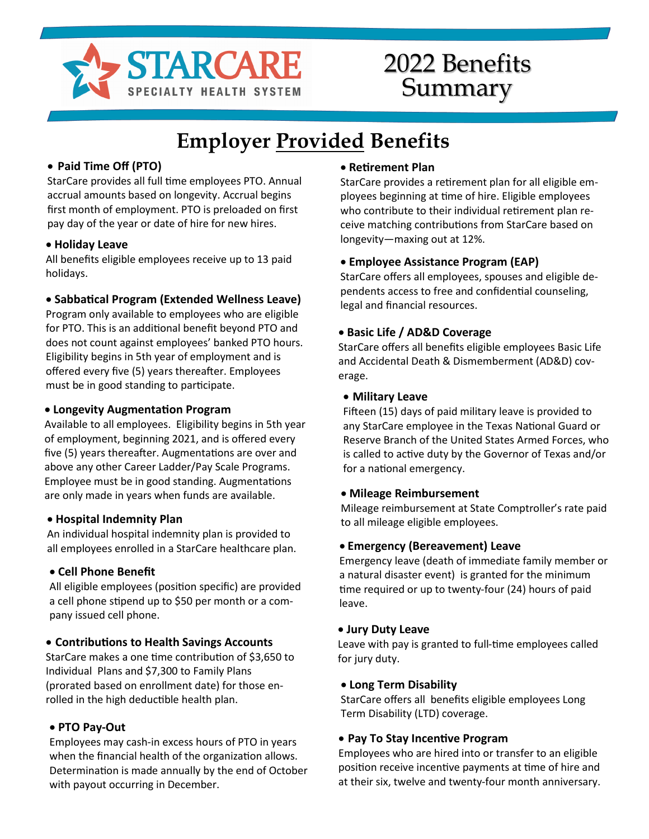

## 2022 Benefits Summary

# **Employer Provided Benefits**

#### • **Paid Time Off (PTO)**

StarCare provides all full time employees PTO. Annual accrual amounts based on longevity. Accrual begins first month of employment. PTO is preloaded on first pay day of the year or date of hire for new hires.

#### • **Holiday Leave**

All benefits eligible employees receive up to 13 paid holidays.

#### • **Sabbatical Program (Extended Wellness Leave)**

Program only available to employees who are eligible for PTO. This is an additional benefit beyond PTO and does not count against employees' banked PTO hours. Eligibility begins in 5th year of employment and is offered every five (5) years thereafter. Employees must be in good standing to participate.

#### • **Longevity Augmentation Program**

Available to all employees. Eligibility begins in 5th year of employment, beginning 2021, and is offered every five (5) years thereafter. Augmentations are over and above any other Career Ladder/Pay Scale Programs. Employee must be in good standing. Augmentations are only made in years when funds are available.

#### • **Hospital Indemnity Plan**

An individual hospital indemnity plan is provided to all employees enrolled in a StarCare healthcare plan.

#### • **Cell Phone Benefit**

All eligible employees (position specific) are provided a cell phone stipend up to \$50 per month or a company issued cell phone.

#### • **Contributions to Health Savings Accounts**

StarCare makes a one time contribution of \$3,650 to Individual Plans and \$7,300 to Family Plans (prorated based on enrollment date) for those enrolled in the high deductible health plan.

#### • **PTO Pay-Out**

Employees may cash-in excess hours of PTO in years when the financial health of the organization allows. Determination is made annually by the end of October with payout occurring in December.

#### • **Retirement Plan**

StarCare provides a retirement plan for all eligible employees beginning at time of hire. Eligible employees who contribute to their individual retirement plan receive matching contributions from StarCare based on longevity—maxing out at 12%.

#### • **Employee Assistance Program (EAP)**

StarCare offers all employees, spouses and eligible dependents access to free and confidential counseling, legal and financial resources.

#### • **Basic Life / AD&D Coverage**

StarCare offers all benefits eligible employees Basic Life and Accidental Death & Dismemberment (AD&D) coverage.

#### • **Military Leave**

Fifteen (15) days of paid military leave is provided to any StarCare employee in the Texas National Guard or Reserve Branch of the United States Armed Forces, who is called to active duty by the Governor of Texas and/or for a national emergency.

#### • **Mileage Reimbursement**

Mileage reimbursement at State Comptroller's rate paid to all mileage eligible employees.

#### • **Emergency (Bereavement) Leave**

Emergency leave (death of immediate family member or a natural disaster event) is granted for the minimum time required or up to twenty-four (24) hours of paid leave.

#### • **Jury Duty Leave**

Leave with pay is granted to full-time employees called for jury duty.

#### • **Long Term Disability**

StarCare offers all benefits eligible employees Long Term Disability (LTD) coverage.

#### • **Pay To Stay Incentive Program**

Employees who are hired into or transfer to an eligible position receive incentive payments at time of hire and at their six, twelve and twenty-four month anniversary.